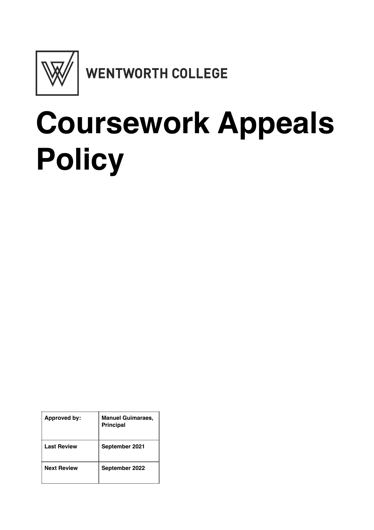

## **Coursework Appeals Policy**

| Approved by:       | <b>Manuel Guimaraes,</b><br><b>Principal</b> |
|--------------------|----------------------------------------------|
| <b>Last Review</b> | September 2021                               |
| <b>Next Review</b> | September 2022                               |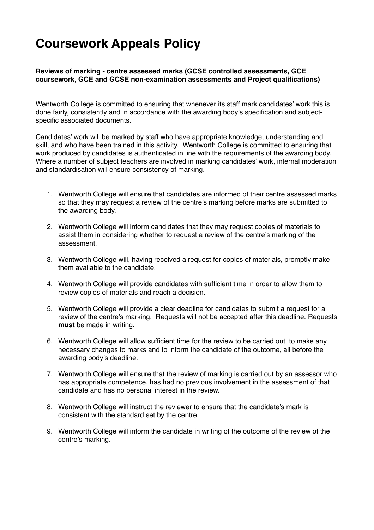## **Coursework Appeals Policy**

**Reviews of marking - centre assessed marks (GCSE controlled assessments, GCE coursework, GCE and GCSE non-examination assessments and Project qualifications)** 

Wentworth College is committed to ensuring that whenever its staff mark candidates' work this is done fairly, consistently and in accordance with the awarding body's specification and subjectspecific associated documents.

Candidates' work will be marked by staff who have appropriate knowledge, understanding and skill, and who have been trained in this activity. Wentworth College is committed to ensuring that work produced by candidates is authenticated in line with the requirements of the awarding body. Where a number of subject teachers are involved in marking candidates' work, internal moderation and standardisation will ensure consistency of marking.

- 1. Wentworth College will ensure that candidates are informed of their centre assessed marks so that they may request a review of the centre's marking before marks are submitted to the awarding body.
- 2. Wentworth College will inform candidates that they may request copies of materials to assist them in considering whether to request a review of the centre's marking of the assessment.
- 3. Wentworth College will, having received a request for copies of materials, promptly make them available to the candidate.
- 4. Wentworth College will provide candidates with sufficient time in order to allow them to review copies of materials and reach a decision.
- 5. Wentworth College will provide a clear deadline for candidates to submit a request for a review of the centre's marking. Requests will not be accepted after this deadline. Requests **must** be made in writing.
- 6. Wentworth College will allow sufficient time for the review to be carried out, to make any necessary changes to marks and to inform the candidate of the outcome, all before the awarding body's deadline.
- 7. Wentworth College will ensure that the review of marking is carried out by an assessor who has appropriate competence, has had no previous involvement in the assessment of that candidate and has no personal interest in the review.
- 8. Wentworth College will instruct the reviewer to ensure that the candidate's mark is consistent with the standard set by the centre.
- 9. Wentworth College will inform the candidate in writing of the outcome of the review of the centre's marking.